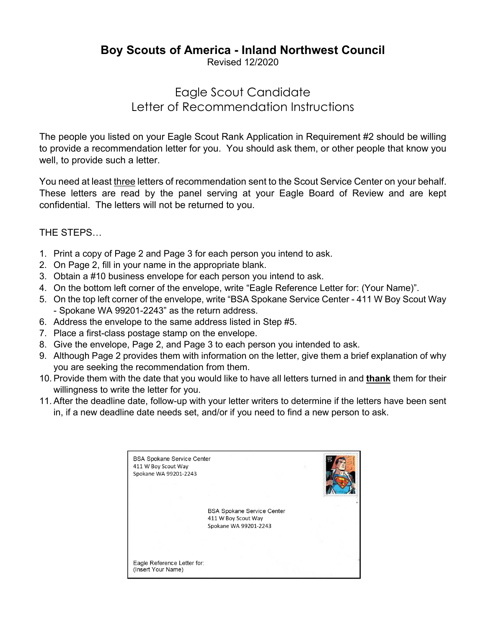## **Boy Scouts of America - Inland Northwest Council**

Revised 12/2020

# Eagle Scout Candidate Letter of Recommendation Instructions

The people you listed on your Eagle Scout Rank Application in Requirement #2 should be willing to provide a recommendation letter for you. You should ask them, or other people that know you well, to provide such a letter.

You need at least three letters of recommendation sent to the Scout Service Center on your behalf. These letters are read by the panel serving at your Eagle Board of Review and are kept confidential. The letters will not be returned to you.

THE STEPS…

- 1. Print a copy of Page 2 and Page 3 for each person you intend to ask.
- 2. On Page 2, fill in your name in the appropriate blank.
- 3. Obtain a #10 business envelope for each person you intend to ask.
- 4. On the bottom left corner of the envelope, write "Eagle Reference Letter for: (Your Name)".
- 5. On the top left corner of the envelope, write "BSA Spokane Service Center 411 W Boy Scout Way - Spokane WA 99201-2243" as the return address.
- 6. Address the envelope to the same address listed in Step #5.
- 7. Place a first-class postage stamp on the envelope.
- 8. Give the envelope, Page 2, and Page 3 to each person you intended to ask.
- 9. Although Page 2 provides them with information on the letter, give them a brief explanation of why you are seeking the recommendation from them.
- 10. Provide them with the date that you would like to have all letters turned in and **thank** them for their willingness to write the letter for you.
- 11. After the deadline date, follow-up with your letter writers to determine if the letters have been sent in, if a new deadline date needs set, and/or if you need to find a new person to ask.

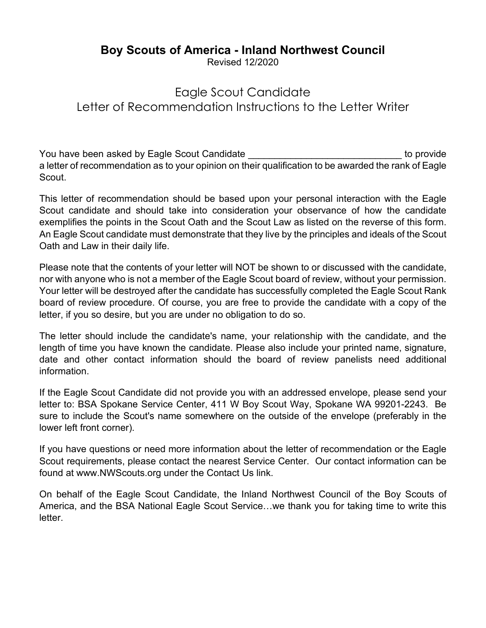### **Boy Scouts of America - Inland Northwest Council**

Revised 12/2020

# Eagle Scout Candidate Letter of Recommendation Instructions to the Letter Writer

You have been asked by Eagle Scout Candidate **Each interval and the set of the set of the set of provide** to provide a letter of recommendation as to your opinion on their qualification to be awarded the rank of Eagle Scout.

This letter of recommendation should be based upon your personal interaction with the Eagle Scout candidate and should take into consideration your observance of how the candidate exemplifies the points in the Scout Oath and the Scout Law as listed on the reverse of this form. An Eagle Scout candidate must demonstrate that they live by the principles and ideals of the Scout Oath and Law in their daily life.

Please note that the contents of your letter will NOT be shown to or discussed with the candidate, nor with anyone who is not a member of the Eagle Scout board of review, without your permission. Your letter will be destroyed after the candidate has successfully completed the Eagle Scout Rank board of review procedure. Of course, you are free to provide the candidate with a copy of the letter, if you so desire, but you are under no obligation to do so.

The letter should include the candidate's name, your relationship with the candidate, and the length of time you have known the candidate. Please also include your printed name, signature, date and other contact information should the board of review panelists need additional information.

If the Eagle Scout Candidate did not provide you with an addressed envelope, please send your letter to: BSA Spokane Service Center, 411 W Boy Scout Way, Spokane WA 99201-2243. Be sure to include the Scout's name somewhere on the outside of the envelope (preferably in the lower left front corner).

If you have questions or need more information about the letter of recommendation or the Eagle Scout requirements, please contact the nearest Service Center. Our contact information can be found at [www.NWScouts.org](http://www.nwscouts.org/) under the Contact Us link.

On behalf of the Eagle Scout Candidate, the Inland Northwest Council of the Boy Scouts of America, and the BSA National Eagle Scout Service…we thank you for taking time to write this letter.